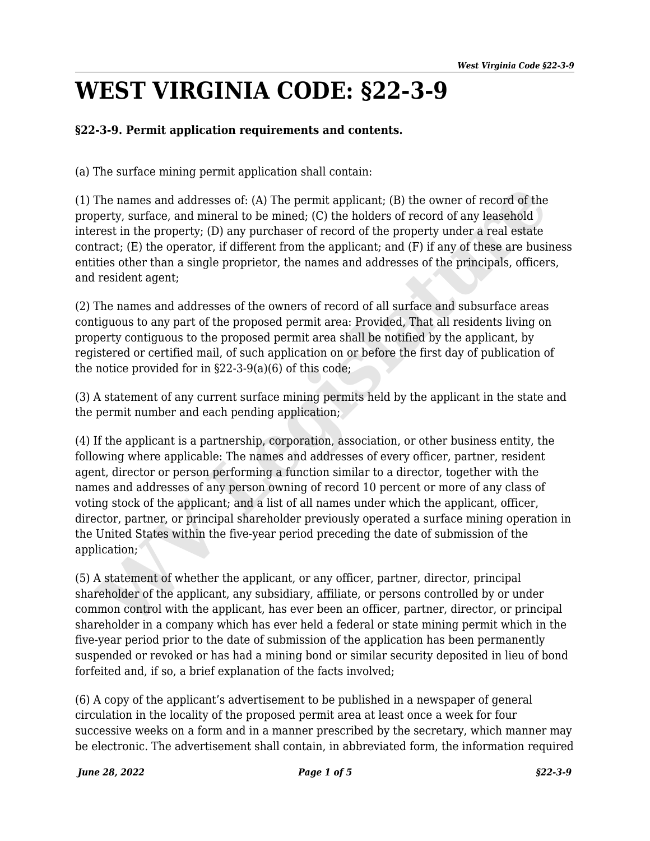## **WEST VIRGINIA CODE: §22-3-9**

## **§22-3-9. Permit application requirements and contents.**

(a) The surface mining permit application shall contain:

(1) The names and addresses of: (A) The permit applicant; (B) the owner of record of the property, surface, and mineral to be mined; (C) the holders of record of any leasehold interest in the property; (D) any purchaser of record of the property under a real estate contract; (E) the operator, if different from the applicant; and (F) if any of these are business entities other than a single proprietor, the names and addresses of the principals, officers, and resident agent;

(2) The names and addresses of the owners of record of all surface and subsurface areas contiguous to any part of the proposed permit area: Provided, That all residents living on property contiguous to the proposed permit area shall be notified by the applicant, by registered or certified mail, of such application on or before the first day of publication of the notice provided for in §22-3-9(a)(6) of this code;

(3) A statement of any current surface mining permits held by the applicant in the state and the permit number and each pending application;

(4) If the applicant is a partnership, corporation, association, or other business entity, the following where applicable: The names and addresses of every officer, partner, resident agent, director or person performing a function similar to a director, together with the names and addresses of any person owning of record 10 percent or more of any class of voting stock of the applicant; and a list of all names under which the applicant, officer, director, partner, or principal shareholder previously operated a surface mining operation in the United States within the five-year period preceding the date of submission of the application; The names and addresses of: (A) The permit applicant; (B) the owner of record of the<br>perty, surface, and mineral to be mined; (C) the holders of record of any leasehold<br>tract; (E) the opertyr, (D) any purchaser of record o

(5) A statement of whether the applicant, or any officer, partner, director, principal shareholder of the applicant, any subsidiary, affiliate, or persons controlled by or under common control with the applicant, has ever been an officer, partner, director, or principal shareholder in a company which has ever held a federal or state mining permit which in the five-year period prior to the date of submission of the application has been permanently suspended or revoked or has had a mining bond or similar security deposited in lieu of bond forfeited and, if so, a brief explanation of the facts involved;

(6) A copy of the applicant's advertisement to be published in a newspaper of general circulation in the locality of the proposed permit area at least once a week for four successive weeks on a form and in a manner prescribed by the secretary, which manner may be electronic. The advertisement shall contain, in abbreviated form, the information required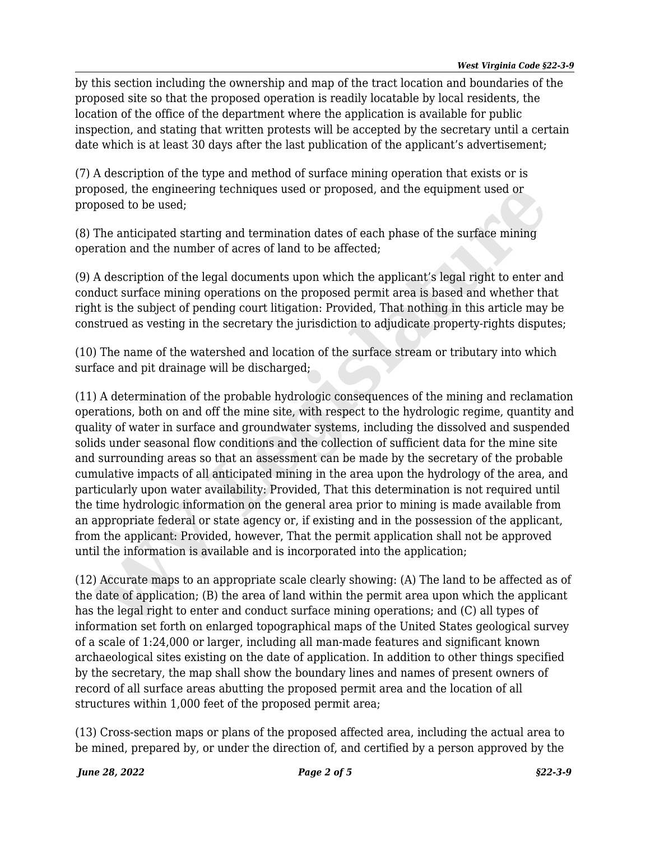by this section including the ownership and map of the tract location and boundaries of the proposed site so that the proposed operation is readily locatable by local residents, the location of the office of the department where the application is available for public inspection, and stating that written protests will be accepted by the secretary until a certain date which is at least 30 days after the last publication of the applicant's advertisement;

(7) A description of the type and method of surface mining operation that exists or is proposed, the engineering techniques used or proposed, and the equipment used or proposed to be used;

(8) The anticipated starting and termination dates of each phase of the surface mining operation and the number of acres of land to be affected;

(9) A description of the legal documents upon which the applicant's legal right to enter and conduct surface mining operations on the proposed permit area is based and whether that right is the subject of pending court litigation: Provided, That nothing in this article may be construed as vesting in the secretary the jurisdiction to adjudicate property-rights disputes;

(10) The name of the watershed and location of the surface stream or tributary into which surface and pit drainage will be discharged;

(11) A determination of the probable hydrologic consequences of the mining and reclamation operations, both on and off the mine site, with respect to the hydrologic regime, quantity and quality of water in surface and groundwater systems, including the dissolved and suspended solids under seasonal flow conditions and the collection of sufficient data for the mine site and surrounding areas so that an assessment can be made by the secretary of the probable cumulative impacts of all anticipated mining in the area upon the hydrology of the area, and particularly upon water availability: Provided, That this determination is not required until the time hydrologic information on the general area prior to mining is made available from an appropriate federal or state agency or, if existing and in the possession of the applicant, from the applicant: Provided, however, That the permit application shall not be approved until the information is available and is incorporated into the application; posed, the engineering techniques used or proposed, and the equipment used or<br>posed to be used;<br>The anticipated starting and termination dates of each phase of the surface mining<br>The anticipated starting and termination da

(12) Accurate maps to an appropriate scale clearly showing: (A) The land to be affected as of the date of application; (B) the area of land within the permit area upon which the applicant has the legal right to enter and conduct surface mining operations; and (C) all types of information set forth on enlarged topographical maps of the United States geological survey of a scale of 1:24,000 or larger, including all man-made features and significant known archaeological sites existing on the date of application. In addition to other things specified by the secretary, the map shall show the boundary lines and names of present owners of record of all surface areas abutting the proposed permit area and the location of all structures within 1,000 feet of the proposed permit area;

(13) Cross-section maps or plans of the proposed affected area, including the actual area to be mined, prepared by, or under the direction of, and certified by a person approved by the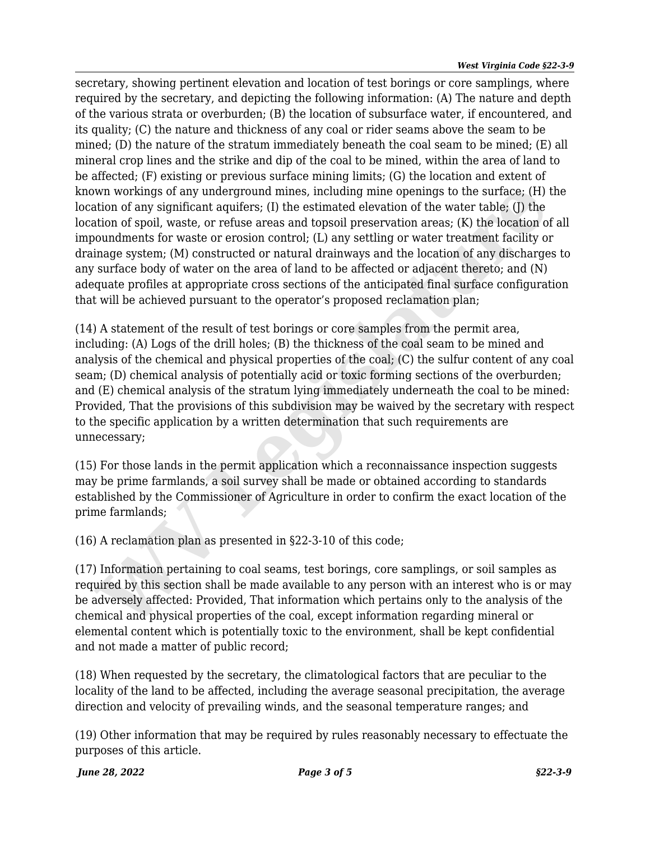secretary, showing pertinent elevation and location of test borings or core samplings, where required by the secretary, and depicting the following information: (A) The nature and depth of the various strata or overburden; (B) the location of subsurface water, if encountered, and its quality; (C) the nature and thickness of any coal or rider seams above the seam to be mined; (D) the nature of the stratum immediately beneath the coal seam to be mined; (E) all mineral crop lines and the strike and dip of the coal to be mined, within the area of land to be affected; (F) existing or previous surface mining limits; (G) the location and extent of known workings of any underground mines, including mine openings to the surface; (H) the location of any significant aquifers; (I) the estimated elevation of the water table; (I) the location of spoil, waste, or refuse areas and topsoil preservation areas; (K) the location of all impoundments for waste or erosion control; (L) any settling or water treatment facility or drainage system; (M) constructed or natural drainways and the location of any discharges to any surface body of water on the area of land to be affected or adjacent thereto; and (N) adequate profiles at appropriate cross sections of the anticipated final surface configuration that will be achieved pursuant to the operator's proposed reclamation plan;

(14) A statement of the result of test borings or core samples from the permit area, including: (A) Logs of the drill holes; (B) the thickness of the coal seam to be mined and analysis of the chemical and physical properties of the coal; (C) the sulfur content of any coal seam; (D) chemical analysis of potentially acid or toxic forming sections of the overburden; and (E) chemical analysis of the stratum lying immediately underneath the coal to be mined: Provided, That the provisions of this subdivision may be waived by the secretary with respect to the specific application by a written determination that such requirements are unnecessary; wn workings of any underground mines, including mine openings to the surface; (H)<br>thion of any significant aquifers; (I) the estimated elevation of the water table; (J) the<br>bition of spoil, waste, or refiuse areas and tops

(15) For those lands in the permit application which a reconnaissance inspection suggests may be prime farmlands, a soil survey shall be made or obtained according to standards established by the Commissioner of Agriculture in order to confirm the exact location of the prime farmlands;

(16) A reclamation plan as presented in §22-3-10 of this code;

(17) Information pertaining to coal seams, test borings, core samplings, or soil samples as required by this section shall be made available to any person with an interest who is or may be adversely affected: Provided, That information which pertains only to the analysis of the chemical and physical properties of the coal, except information regarding mineral or elemental content which is potentially toxic to the environment, shall be kept confidential and not made a matter of public record;

(18) When requested by the secretary, the climatological factors that are peculiar to the locality of the land to be affected, including the average seasonal precipitation, the average direction and velocity of prevailing winds, and the seasonal temperature ranges; and

(19) Other information that may be required by rules reasonably necessary to effectuate the purposes of this article.

*June 28, 2022 Page 3 of 5 §22-3-9*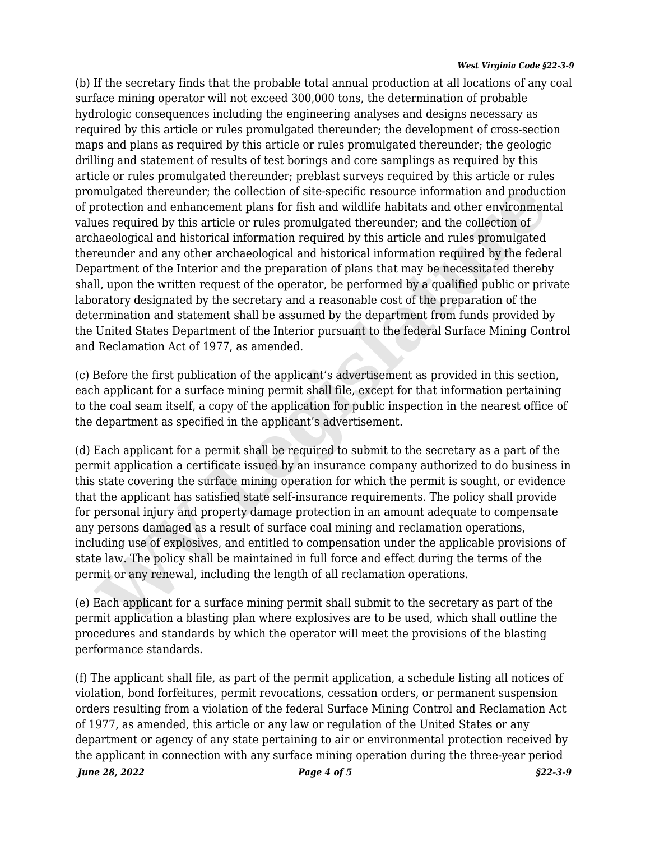(b) If the secretary finds that the probable total annual production at all locations of any coal surface mining operator will not exceed 300,000 tons, the determination of probable hydrologic consequences including the engineering analyses and designs necessary as required by this article or rules promulgated thereunder; the development of cross-section maps and plans as required by this article or rules promulgated thereunder; the geologic drilling and statement of results of test borings and core samplings as required by this article or rules promulgated thereunder; preblast surveys required by this article or rules promulgated thereunder; the collection of site-specific resource information and production of protection and enhancement plans for fish and wildlife habitats and other environmental values required by this article or rules promulgated thereunder; and the collection of archaeological and historical information required by this article and rules promulgated thereunder and any other archaeological and historical information required by the federal Department of the Interior and the preparation of plans that may be necessitated thereby shall, upon the written request of the operator, be performed by a qualified public or private laboratory designated by the secretary and a reasonable cost of the preparation of the determination and statement shall be assumed by the department from funds provided by the United States Department of the Interior pursuant to the federal Surface Mining Control and Reclamation Act of 1977, as amended. mulgated thereunder; the collection of site-specific resource information and product<br>orbection and enhancement plans for fish and wildlife habitats and other enviroment<br>orbection of<br>nes required by this article or rules p

(c) Before the first publication of the applicant's advertisement as provided in this section, each applicant for a surface mining permit shall file, except for that information pertaining to the coal seam itself, a copy of the application for public inspection in the nearest office of the department as specified in the applicant's advertisement.

(d) Each applicant for a permit shall be required to submit to the secretary as a part of the permit application a certificate issued by an insurance company authorized to do business in this state covering the surface mining operation for which the permit is sought, or evidence that the applicant has satisfied state self-insurance requirements. The policy shall provide for personal injury and property damage protection in an amount adequate to compensate any persons damaged as a result of surface coal mining and reclamation operations, including use of explosives, and entitled to compensation under the applicable provisions of state law. The policy shall be maintained in full force and effect during the terms of the permit or any renewal, including the length of all reclamation operations.

(e) Each applicant for a surface mining permit shall submit to the secretary as part of the permit application a blasting plan where explosives are to be used, which shall outline the procedures and standards by which the operator will meet the provisions of the blasting performance standards.

*June 28, 2022 Page 4 of 5 §22-3-9* (f) The applicant shall file, as part of the permit application, a schedule listing all notices of violation, bond forfeitures, permit revocations, cessation orders, or permanent suspension orders resulting from a violation of the federal Surface Mining Control and Reclamation Act of 1977, as amended, this article or any law or regulation of the United States or any department or agency of any state pertaining to air or environmental protection received by the applicant in connection with any surface mining operation during the three-year period